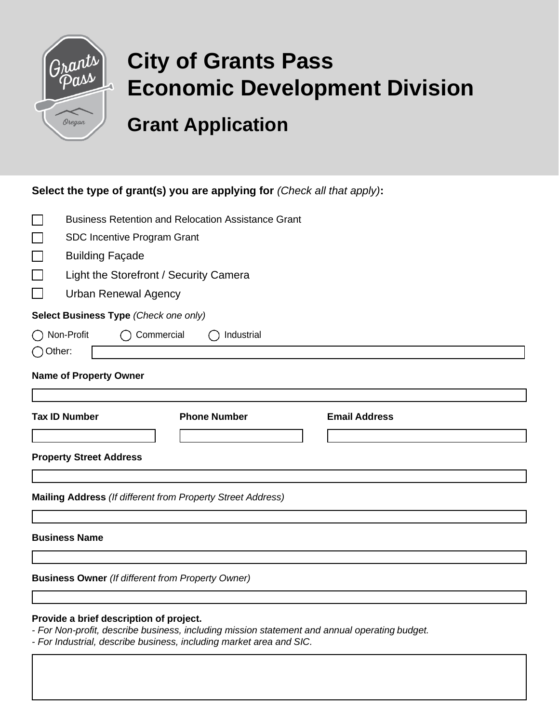

# **City of Grants Pass Economic Development Division**

## **Grant Application**

#### **Select the type of grant(s) you are applying for** *(Check all that apply)***:**

| $\mathcal{L}_{\mathcal{A}}$ | <b>Business Retention and Relocation Assistance Grant</b>   |                     |                      |  |  |  |  |
|-----------------------------|-------------------------------------------------------------|---------------------|----------------------|--|--|--|--|
| $\Box$                      | SDC Incentive Program Grant                                 |                     |                      |  |  |  |  |
| $\Box$                      | <b>Building Façade</b>                                      |                     |                      |  |  |  |  |
| $\Box$                      | Light the Storefront / Security Camera                      |                     |                      |  |  |  |  |
| $\mathbf{I}$                | <b>Urban Renewal Agency</b>                                 |                     |                      |  |  |  |  |
|                             | Select Business Type (Check one only)                       |                     |                      |  |  |  |  |
|                             | ◯ Non-Profit<br>Commercial                                  | Industrial          |                      |  |  |  |  |
| $\bigcap$ Other:            |                                                             |                     |                      |  |  |  |  |
|                             | <b>Name of Property Owner</b>                               |                     |                      |  |  |  |  |
|                             |                                                             |                     |                      |  |  |  |  |
|                             |                                                             |                     |                      |  |  |  |  |
|                             | <b>Tax ID Number</b>                                        | <b>Phone Number</b> | <b>Email Address</b> |  |  |  |  |
|                             |                                                             |                     |                      |  |  |  |  |
|                             | <b>Property Street Address</b>                              |                     |                      |  |  |  |  |
|                             |                                                             |                     |                      |  |  |  |  |
|                             | Mailing Address (If different from Property Street Address) |                     |                      |  |  |  |  |
|                             |                                                             |                     |                      |  |  |  |  |
|                             | <b>Business Name</b>                                        |                     |                      |  |  |  |  |

**Provide a brief description of project.**

**Business Owner** *(If different from Property Owner)*

*- For Non-profit, describe business, including mission statement and annual operating budget.*

*- For Industrial, describe business, including market area and SIC.*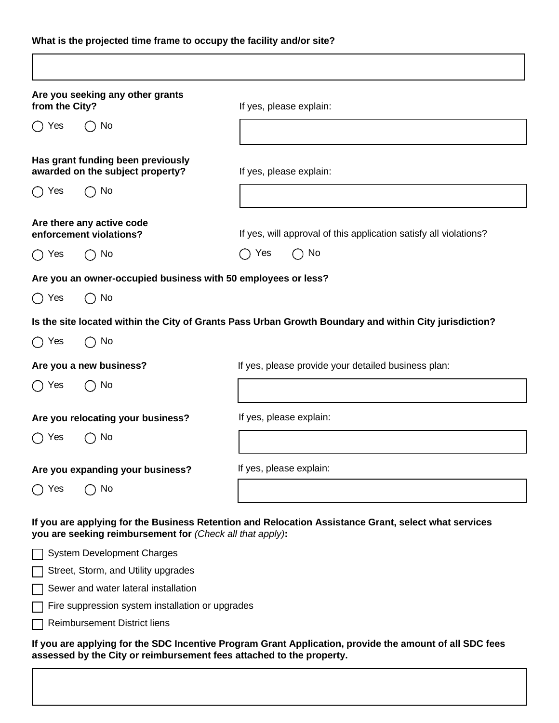#### **What is the projected time frame to occupy the facility and/or site?**

| from the City? | Are you seeking any other grants                                      | If yes, please explain:                                                                                |
|----------------|-----------------------------------------------------------------------|--------------------------------------------------------------------------------------------------------|
| No<br>Yes      |                                                                       |                                                                                                        |
|                | Has grant funding been previously<br>awarded on the subject property? | If yes, please explain:                                                                                |
| Yes            | No                                                                    |                                                                                                        |
|                | Are there any active code<br>enforcement violations?                  | If yes, will approval of this application satisfy all violations?                                      |
| ◯ Yes          | $\bigcap$ No                                                          | Yes<br>$\bigcap$ No                                                                                    |
|                | Are you an owner-occupied business with 50 employees or less?         |                                                                                                        |
| $\bigcirc$ Yes | $\bigcap$ No                                                          |                                                                                                        |
|                |                                                                       | Is the site located within the City of Grants Pass Urban Growth Boundary and within City jurisdiction? |
| $\bigcap$ Yes  | $\bigcap$ No                                                          |                                                                                                        |
|                | Are you a new business?                                               | If yes, please provide your detailed business plan:                                                    |
| ◯ Yes          | $\bigcap$ No                                                          |                                                                                                        |
|                | Are you relocating your business?                                     | If yes, please explain:                                                                                |
| Yes            | No.                                                                   |                                                                                                        |
|                | Are you expanding your business?                                      | If yes, please explain:                                                                                |
| ◯ Yes          | No                                                                    |                                                                                                        |
|                | you are seeking reimbursement for (Check all that apply):             | If you are applying for the Business Retention and Relocation Assistance Grant, select what services   |
|                | <b>System Development Charges</b>                                     |                                                                                                        |
|                | Street, Storm, and Utility upgrades                                   |                                                                                                        |
|                | Sewer and water lateral installation                                  |                                                                                                        |
|                |                                                                       |                                                                                                        |
|                | Fire suppression system installation or upgrades                      |                                                                                                        |

**assessed by the City or reimbursement fees attached to the property.**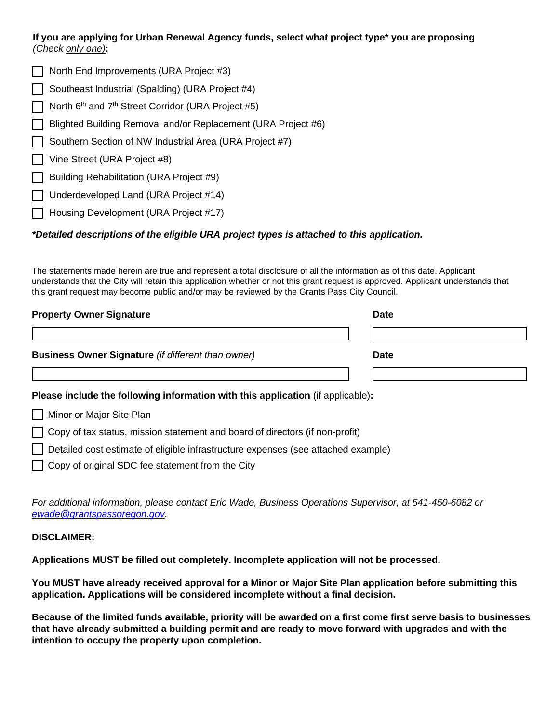#### **If you are applying for Urban Renewal Agency funds, select what project type\* you are proposing** *(Check only one)***:**

- $\Box$  North End Improvements (URA Project #3) Southeast Industrial (Spalding) (URA Project #4)  $\overline{\phantom{a}}$  North 6<sup>th</sup> and 7<sup>th</sup> Street Corridor (URA Project #5) Blighted Building Removal and/or Replacement (URA Project #6) Southern Section of NW Industrial Area (URA Project #7) Vine Street (URA Project #8)
- Building Rehabilitation (URA Project #9)
- Underdeveloped Land (URA Project #14)
- Housing Development (URA Project #17)

#### *\*Detailed descriptions of the eligible URA project types is attached to this application.*

The statements made herein are true and represent a total disclosure of all the information as of this date. Applicant understands that the City will retain this application whether or not this grant request is approved. Applicant understands that this grant request may become public and/or may be reviewed by the Grants Pass City Council.

| <b>Property Owner Signature</b>                           | <b>Date</b> |             |
|-----------------------------------------------------------|-------------|-------------|
|                                                           |             |             |
| <b>Business Owner Signature</b> (if different than owner) |             | <b>Date</b> |
|                                                           |             |             |

#### **Please include the following information with this application** (if applicable)**:**

|  |  | Minor or Major Site Plan |  |
|--|--|--------------------------|--|
|--|--|--------------------------|--|

Copy of tax status, mission statement and board of directors (if non-profit)

Detailed cost estimate of eligible infrastructure expenses (see attached example)

Copy of original SDC fee statement from the City

*For additional information, please contact Eric Wade, Business Operations Supervisor, at 541-450-6082 or [ewade@grantspassoregon.gov.](mailto:ewade@grantspassoregon.gov)*

#### **DISCLAIMER:**

**Applications MUST be filled out completely. Incomplete application will not be processed.**

**You MUST have already received approval for a Minor or Major Site Plan application before submitting this application. Applications will be considered incomplete without a final decision.**

**Because of the limited funds available, priority will be awarded on a first come first serve basis to businesses that have already submitted a building permit and are ready to move forward with upgrades and with the intention to occupy the property upon completion.**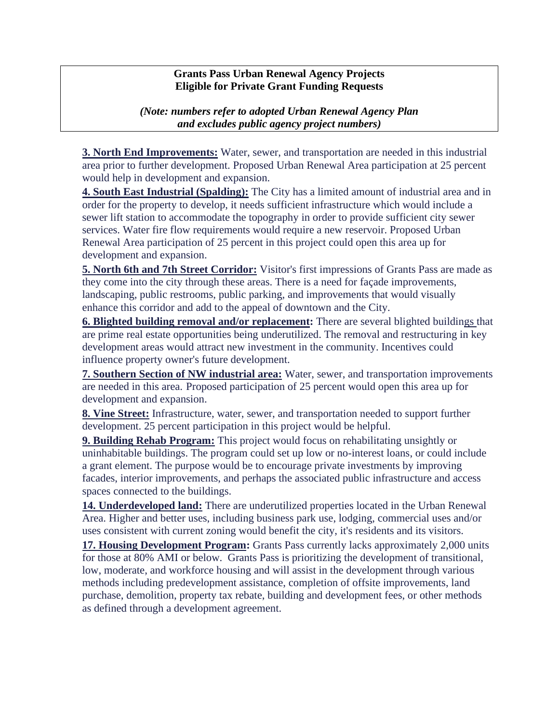#### **Grants Pass Urban Renewal Agency Projects Eligible for Private Grant Funding Requests**

*(Note: numbers refer to adopted Urban Renewal Agency Plan and excludes public agency project numbers)*

**3. North End Improvements:** Water, sewer, and transportation are needed in this industrial area prior to further development. Proposed Urban Renewal Area participation at 25 percent would help in development and expansion.

**4. South East Industrial (Spalding):** The City has a limited amount of industrial area and in order for the property to develop, it needs sufficient infrastructure which would include a sewer lift station to accommodate the topography in order to provide sufficient city sewer services. Water fire flow requirements would require a new reservoir. Proposed Urban Renewal Area participation of 25 percent in this project could open this area up for development and expansion.

**5. North 6th and 7th Street Corridor:** Visitor's first impressions of Grants Pass are made as they come into the city through these areas. There is a need for façade improvements, landscaping, public restrooms, public parking, and improvements that would visually enhance this corridor and add to the appeal of downtown and the City.

**6. Blighted building removal and/or replacement:** There are several blighted buildings that are prime real estate opportunities being underutilized. The removal and restructuring in key development areas would attract new investment in the community. Incentives could influence property owner's future development.

**7. Southern Section of NW industrial area:** Water, sewer, and transportation improvements are needed in this area. Proposed participation of 25 percent would open this area up for development and expansion.

**8. Vine Street:** Infrastructure, water, sewer, and transportation needed to support further development. 25 percent participation in this project would be helpful.

**9. Building Rehab Program:** This project would focus on rehabilitating unsightly or uninhabitable buildings. The program could set up low or no-interest loans, or could include a grant element. The purpose would be to encourage private investments by improving facades, interior improvements, and perhaps the associated public infrastructure and access spaces connected to the buildings.

**14. Underdeveloped land:** There are underutilized properties located in the Urban Renewal Area. Higher and better uses, including business park use, lodging, commercial uses and/or uses consistent with current zoning would benefit the city, it's residents and its visitors.

17. Housing Development Program: Grants Pass currently lacks approximately 2,000 units for those at 80% AMI or below. Grants Pass is prioritizing the development of transitional, low, moderate, and workforce housing and will assist in the development through various methods including predevelopment assistance, completion of offsite improvements, land purchase, demolition, property tax rebate, building and development fees, or other methods as defined through a development agreement.